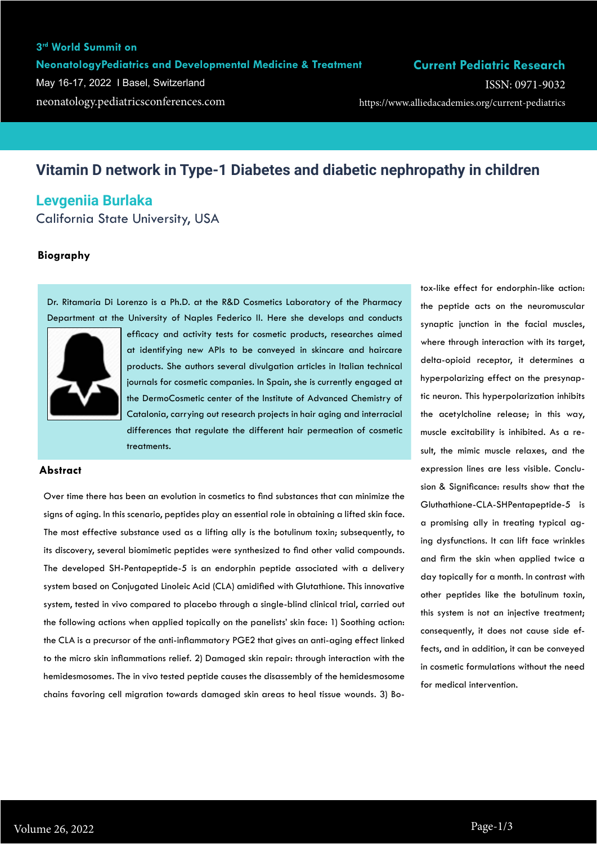ISSN: 0971-9032

# **Vitamin D network in Type-1 Diabetes and diabetic nephropathy in children**

# **Levgeniia Burlaka**

California State University, USA

# **Biography**

Dr. Ritamaria Di Lorenzo is a Ph.D. at the R&D Cosmetics Laboratory of the Pharmacy Department at the University of Naples Federico II. Here she develops and conducts



efficacy and activity tests for cosmetic products, researches aimed at identifying new APIs to be conveyed in skincare and haircare products. She authors several divulgation articles in Italian technical journals for cosmetic companies. In Spain, she is currently engaged at the DermoCosmetic center of the Institute of Advanced Chemistry of Catalonia, carrying out research projects in hair aging and interracial differences that regulate the different hair permeation of cosmetic treatments.

#### **Abstract**

Over time there has been an evolution in cosmetics to find substances that can minimize the signs of aging. In this scenario, peptides play an essential role in obtaining a lifted skin face. The most effective substance used as a lifting ally is the botulinum toxin; subsequently, to its discovery, several biomimetic peptides were synthesized to find other valid compounds. The developed SH-Pentapeptide-5 is an endorphin peptide associated with a delivery system based on Conjugated Linoleic Acid (CLA) amidified with Glutathione. This innovative system, tested in vivo compared to placebo through a single-blind clinical trial, carried out the following actions when applied topically on the panelists' skin face: 1) Soothing action: the CLA is a precursor of the anti-inflammatory PGE2 that gives an anti-aging effect linked to the micro skin inflammations relief. 2) Damaged skin repair: through interaction with the hemidesmosomes. The in vivo tested peptide causes the disassembly of the hemidesmosome chains favoring cell migration towards damaged skin areas to heal tissue wounds. 3) Botox-like effect for endorphin-like action: the peptide acts on the neuromuscular synaptic junction in the facial muscles, where through interaction with its target, delta-opioid receptor, it determines a hyperpolarizing effect on the presynaptic neuron. This hyperpolarization inhibits the acetylcholine release; in this way, muscle excitability is inhibited. As a result, the mimic muscle relaxes, and the expression lines are less visible. Conclusion & Significance: results show that the Gluthathione-CLA-SHPentapeptide-5 is a promising ally in treating typical aging dysfunctions. It can lift face wrinkles and firm the skin when applied twice a day topically for a month. In contrast with other peptides like the botulinum toxin, this system is not an injective treatment; consequently, it does not cause side effects, and in addition, it can be conveyed in cosmetic formulations without the need for medical intervention.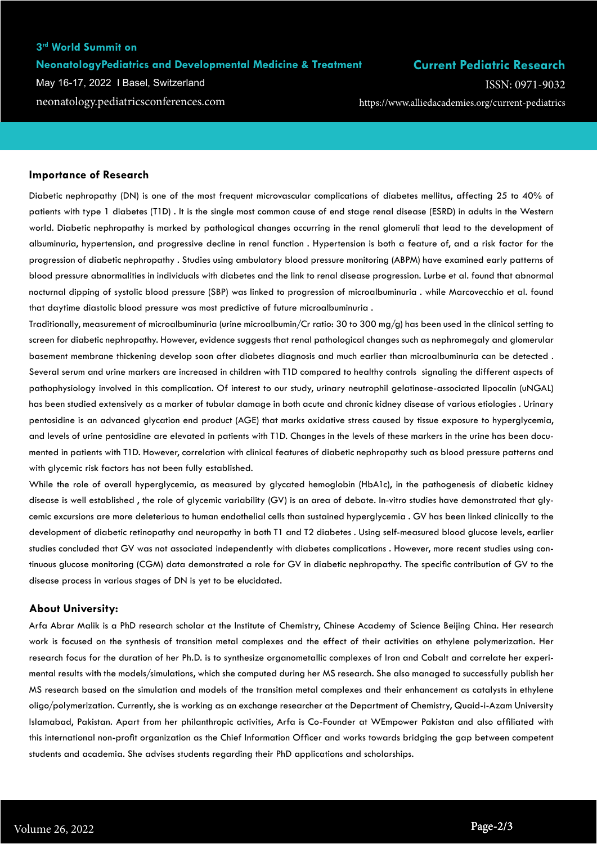## **3rd World Summit on**

#### **NeonatologyPediatrics and Developmental Medicine & Treatment**

May 16-17, 2022 I Basel, Switzerland

# **Current Pediatric Research**

neonatology.pediatricsconferences.com https://www.alliedacademies.org/current-pediatrics ISSN: 0971-9032

#### **Importance of Research**

Diabetic nephropathy (DN) is one of the most frequent microvascular complications of diabetes mellitus, affecting 25 to 40% of patients with type 1 diabetes (T1D) . It is the single most common cause of end stage renal disease (ESRD) in adults in the Western world. Diabetic nephropathy is marked by pathological changes occurring in the renal glomeruli that lead to the development of albuminuria, hypertension, and progressive decline in renal function . Hypertension is both a feature of, and a risk factor for the progression of diabetic nephropathy . Studies using ambulatory blood pressure monitoring (ABPM) have examined early patterns of blood pressure abnormalities in individuals with diabetes and the link to renal disease progression. Lurbe et al. found that abnormal nocturnal dipping of systolic blood pressure (SBP) was linked to progression of microalbuminuria . while Marcovecchio et al. found that daytime diastolic blood pressure was most predictive of future microalbuminuria .

Traditionally, measurement of microalbuminuria (urine microalbumin/Cr ratio: 30 to 300 mg/g) has been used in the clinical setting to screen for diabetic nephropathy. However, evidence suggests that renal pathological changes such as nephromegaly and glomerular basement membrane thickening develop soon after diabetes diagnosis and much earlier than microalbuminuria can be detected . Several serum and urine markers are increased in children with T1D compared to healthy controls signaling the different aspects of pathophysiology involved in this complication. Of interest to our study, urinary neutrophil gelatinase-associated lipocalin (uNGAL) has been studied extensively as a marker of tubular damage in both acute and chronic kidney disease of various etiologies . Urinary pentosidine is an advanced glycation end product (AGE) that marks oxidative stress caused by tissue exposure to hyperglycemia, and levels of urine pentosidine are elevated in patients with T1D. Changes in the levels of these markers in the urine has been documented in patients with T1D. However, correlation with clinical features of diabetic nephropathy such as blood pressure patterns and with glycemic risk factors has not been fully established.

While the role of overall hyperglycemia, as measured by glycated hemoglobin (HbA1c), in the pathogenesis of diabetic kidney disease is well established , the role of glycemic variability (GV) is an area of debate. In-vitro studies have demonstrated that glycemic excursions are more deleterious to human endothelial cells than sustained hyperglycemia . GV has been linked clinically to the development of diabetic retinopathy and neuropathy in both T1 and T2 diabetes . Using self-measured blood glucose levels, earlier studies concluded that GV was not associated independently with diabetes complications . However, more recent studies using continuous glucose monitoring (CGM) data demonstrated a role for GV in diabetic nephropathy. The specific contribution of GV to the disease process in various stages of DN is yet to be elucidated.

#### **About University:**

Arfa Abrar Malik is a PhD research scholar at the Institute of Chemistry, Chinese Academy of Science Beijing China. Her research work is focused on the synthesis of transition metal complexes and the effect of their activities on ethylene polymerization. Her research focus for the duration of her Ph.D. is to synthesize organometallic complexes of Iron and Cobalt and correlate her experimental results with the models/simulations, which she computed during her MS research. She also managed to successfully publish her MS research based on the simulation and models of the transition metal complexes and their enhancement as catalysts in ethylene oligo/polymerization. Currently, she is working as an exchange researcher at the Department of Chemistry, Quaid-i-Azam University Islamabad, Pakistan. Apart from her philanthropic activities, Arfa is Co-Founder at WEmpower Pakistan and also affiliated with this international non-profit organization as the Chief Information Officer and works towards bridging the gap between competent students and academia. She advises students regarding their PhD applications and scholarships.